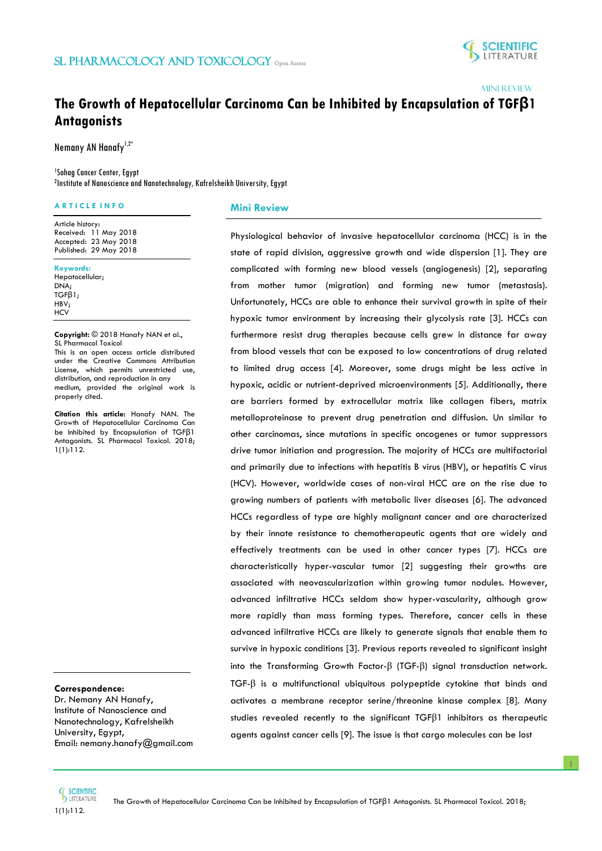

**1**

# Mini Review **The Growth of Hepatocellular Carcinoma Can be Inhibited by Encapsulation of TGFβ1 Antagonists**

Nemany AN Hanafy $1.2^*$ 

1 Sohag Cancer Center, Egypt 2 Institute of Nanoscience and Nanotechnology, Kafrelsheikh University, Egypt

### **A R T I C L E I N F O**

Article history: Received: 11 May 2018 Accepted: 23 May 2018 Published: 29 May 2018

**Keywords:** Hepatocellular; DNA; TGFβ1; HBV; **HCV** 

**Copyright:** © 2018 Hanafy NAN et al., SL Pharmacol Toxicol

This is an open access article distributed under the Creative Commons Attribution License, which permits unrestricted use, distribution, and reproduction in any medium, provided the original work is properly cited.

**Citation this article:** Hanafy NAN. The Growth of Hepatocellular Carcinoma Can be Inhibited by Encapsulation of TGFβ1 Antagonists. SL Pharmacol Toxicol. 2018; 1(1):112.

### **Correspondence:**

Dr. Nemany AN Hanafy, Institute of Nanoscience and Nanotechnology, Kafrelsheikh University, Egypt, Email: nemany.hanafy@gmail.com

## **Mini Review**

Physiological behavior of invasive hepatocellular carcinoma (HCC) is in the state of rapid division, aggressive growth and wide dispersion [1]. They are complicated with forming new blood vessels (angiogenesis) [2], separating from mother tumor (migration) and forming new tumor (metastasis). Unfortunately, HCCs are able to enhance their survival growth in spite of their hypoxic tumor environment by increasing their glycolysis rate [3]. HCCs can furthermore resist drug therapies because cells grew in distance far away from blood vessels that can be exposed to low concentrations of drug related to limited drug access [4]. Moreover, some drugs might be less active in hypoxic, acidic or nutrient-deprived microenvironments [5]. Additionally, there are barriers formed by extracellular matrix like collagen fibers, matrix metalloproteinase to prevent drug penetration and diffusion. Un similar to other carcinomas, since mutations in specific oncogenes or tumor suppressors drive tumor initiation and progression. The majority of HCCs are multifactorial and primarily due to infections with hepatitis B virus (HBV), or hepatitis C virus (HCV). However, worldwide cases of non-viral HCC are on the rise due to growing numbers of patients with metabolic liver diseases [6]. The advanced HCCs regardless of type are highly malignant cancer and are characterized by their innate resistance to chemotherapeutic agents that are widely and effectively treatments can be used in other cancer types [7]. HCCs are characteristically hyper-vascular tumor [2] suggesting their growths are associated with neovascularization within growing tumor nodules. However, advanced infiltrative HCCs seldom show hyper-vascularity, although grow more rapidly than mass forming types. Therefore, cancer cells in these advanced infiltrative HCCs are likely to generate signals that enable them to survive in hypoxic conditions [3]. Previous reports revealed to significant insight into the Transforming Growth Factor-β (TGF-β) signal transduction network. TGF-β is a multifunctional ubiquitous polypeptide cytokine that binds and activates a membrane receptor serine/threonine kinase complex [8]. Many studies revealed recently to the significant TGFβ1 inhibitors as therapeutic agents against cancer cells [9]. The issue is that cargo molecules can be lost